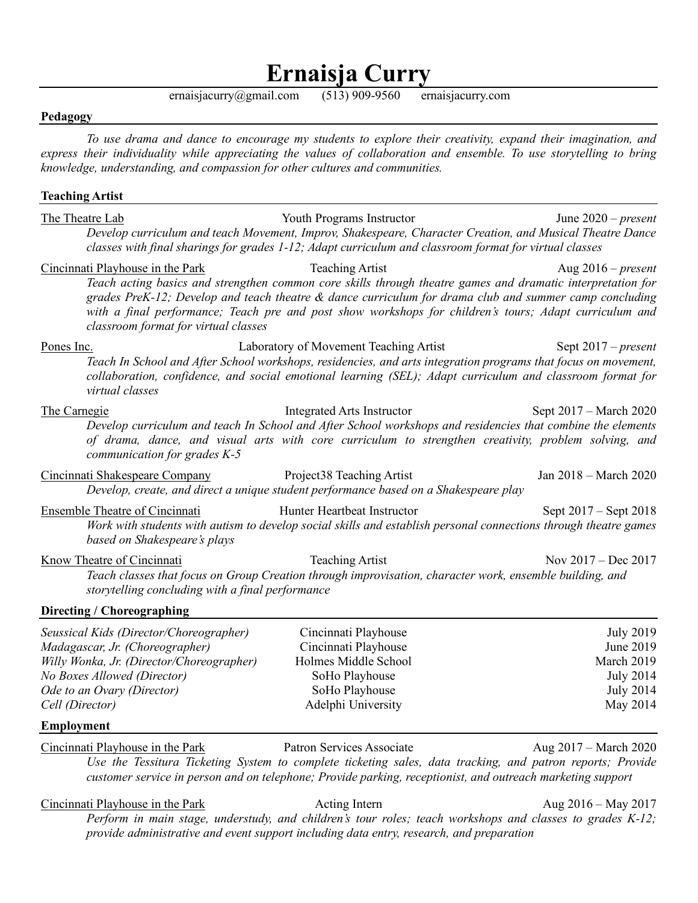# **Ernaisja Curry**

ernaisjacurry@gmail.com (513) 909-9560 ernaisjacurry.com

#### **Pedagogy**

*To use drama and dance to encourage my students to explore their creativity, expand their imagination, and express their individuality while appreciating the values of collaboration and ensemble. To use storytelling to bring knowledge, understanding, and compassion for other cultures and communities.* 

#### **Teaching Artist**

The Theatre Lab Youth Programs Instructor June 2020 – *present Develop curriculum and teach Movement, Improv, Shakespeare, Character Creation, and Musical Theatre Dance classes with final sharings for grades 1-12; Adapt curriculum and classroom format for virtual classes*

#### Cincinnati Playhouse in the Park Teaching Artist Aug 2016 – *present*

*Teach acting basics and strengthen common core skills through theatre games and dramatic interpretation for grades PreK-12; Develop and teach theatre & dance curriculum for drama club and summer camp concluding with a final performance; Teach pre and post show workshops for children's tours; Adapt curriculum and classroom format for virtual classes*

Pones Inc. Laboratory of Movement Teaching Artist Sept 2017 – *present Teach In School and After School workshops, residencies, and arts integration programs that focus on movement, collaboration, confidence, and social emotional learning (SEL); Adapt curriculum and classroom format for virtual classes*

### The Carnegie The Carnegie Integrated Arts Instructor Sept 2017 – March 2020 *Develop curriculum and teach In School and After School workshops and residencies that combine the elements of drama, dance, and visual arts with core curriculum to strengthen creativity, problem solving, and communication for grades K-5*

| Cincinnati Shakespeare Company | Project38 Teaching Artist                                                            | Jan 2018 – March 2020 |
|--------------------------------|--------------------------------------------------------------------------------------|-----------------------|
|                                | Develop, create, and direct a unique student performance based on a Shakespeare play |                       |

Ensemble Theatre of Cincinnati Hunter Heartbeat Instructor Sept 2017 – Sept 2018 *Work with students with autism to develop social skills and establish personal connections through theatre games based on Shakespeare's plays*

Know Theatre of Cincinnati Teaching Artist Nov 2017 – Dec 2017 *Teach classes that focus on Group Creation through improvisation, character work, ensemble building, and storytelling concluding with a final performance* 

### **Directing / Choreographing**

| Seussical Kids (Director/Choreographer)   | Cincinnati Playhouse | July 2019  |
|-------------------------------------------|----------------------|------------|
| Madagascar, Jr. (Choreographer)           | Cincinnati Playhouse | June 2019  |
| Willy Wonka, Jr. (Director/Choreographer) | Holmes Middle School | March 2019 |
| No Boxes Allowed (Director)               | SoHo Playhouse       | July 2014  |
| Ode to an Ovary (Director)                | SoHo Playhouse       | July 2014  |
| Cell (Director)                           | Adelphi University   | May 2014   |
|                                           |                      |            |

#### **Employment**

Cincinnati Playhouse in the Park Patron Services Associate Aug 2017 – March 2020

*Use the Tessitura Ticketing System to complete ticketing sales, data tracking, and patron reports; Provide customer service in person and on telephone; Provide parking, receptionist, and outreach marketing support*

Cincinnati Playhouse in the Park Acting Intern Acting Intern Aug 2016 – May 2017

*Perform in main stage, understudy, and children's tour roles; teach workshops and classes to grades K-12; provide administrative and event support including data entry, research, and preparation*